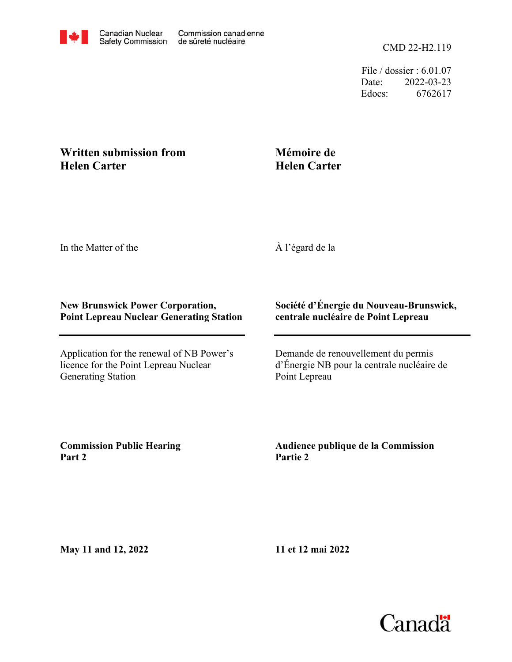

File / dossier : 6.01.07 Date: 2022-03-23 Edocs: 6762617

## **Written submission from Helen Carter**

## **Mémoire de Helen Carter**

In the Matter of the

À l'égard de la

## **New Brunswick Power Corporation, Point Lepreau Nuclear Generating Station**

Application for the renewal of NB Power's licence for the Point Lepreau Nuclear Generating Station

## **Société d'Énergie du Nouveau-Brunswick, centrale nucléaire de Point Lepreau**

Demande de renouvellement du permis d'Énergie NB pour la centrale nucléaire de Point Lepreau

**Commission Public Hearing Part 2**

**Audience publique de la Commission Partie 2**

**May 11 and 12, 2022**

**11 et 12 mai 2022**